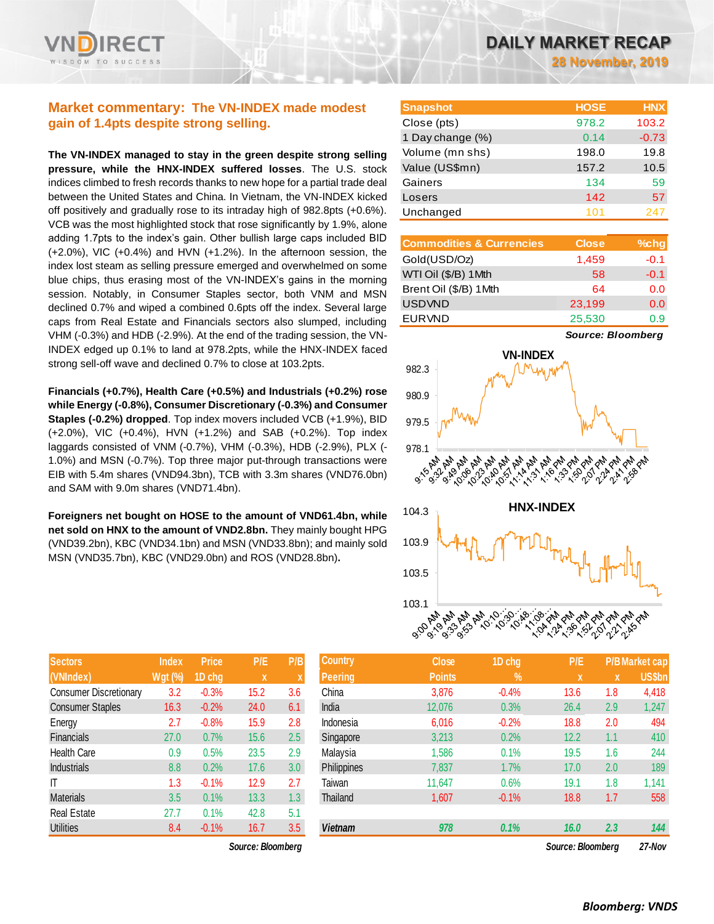**28 November, 2019**

# **Market commentary: The VN-INDEX made modest gain of 1.4pts despite strong selling.**

**The VN-INDEX managed to stay in the green despite strong selling pressure, while the HNX-INDEX suffered losses**. The U.S. stock indices climbed to fresh records thanks to new hope for a partial trade deal between the United States and China. In Vietnam, the VN-INDEX kicked off positively and gradually rose to its intraday high of 982.8pts (+0.6%). VCB was the most highlighted stock that rose significantly by 1.9%, alone adding 1.7pts to the index's gain. Other bullish large caps included BID (+2.0%), VIC (+0.4%) and HVN (+1.2%). In the afternoon session, the index lost steam as selling pressure emerged and overwhelmed on some blue chips, thus erasing most of the VN-INDEX's gains in the morning session. Notably, in Consumer Staples sector, both VNM and MSN declined 0.7% and wiped a combined 0.6pts off the index. Several large caps from Real Estate and Financials sectors also slumped, including VHM (-0.3%) and HDB (-2.9%). At the end of the trading session, the VN-INDEX edged up 0.1% to land at 978.2pts, while the HNX-INDEX faced strong sell-off wave and declined 0.7% to close at 103.2pts.

**Financials (+0.7%), Health Care (+0.5%) and Industrials (+0.2%) rose while Energy (-0.8%), Consumer Discretionary (-0.3%) and Consumer Staples (-0.2%) dropped**. Top index movers included VCB (+1.9%), BID (+2.0%), VIC (+0.4%), HVN (+1.2%) and SAB (+0.2%). Top index laggards consisted of VNM (-0.7%), VHM (-0.3%), HDB (-2.9%), PLX (- 1.0%) and MSN (-0.7%). Top three major put-through transactions were EIB with 5.4m shares (VND94.3bn), TCB with 3.3m shares (VND76.0bn) and SAM with 9.0m shares (VND71.4bn).

**Foreigners net bought on HOSE to the amount of VND61.4bn, while net sold on HNX to the amount of VND2.8bn.** They mainly bought HPG (VND39.2bn), KBC (VND34.1bn) and MSN (VND33.8bn); and mainly sold MSN (VND35.7bn), KBC (VND29.0bn) and ROS (VND28.8bn)**.**

| <b>Sectors</b>                | <b>Index</b>   | <b>Price</b> | P/E  | P/B |
|-------------------------------|----------------|--------------|------|-----|
| (VNIndex)                     | <b>Wgt (%)</b> | 1D chg       | X    | X   |
| <b>Consumer Discretionary</b> | 3.2            | $-0.3%$      | 15.2 | 3.6 |
| <b>Consumer Staples</b>       | 16.3           | $-0.2%$      | 24.0 | 6.1 |
| Energy                        | 2.7            | $-0.8%$      | 15.9 | 2.8 |
| <b>Financials</b>             | 27.0           | 0.7%         | 15.6 | 2.5 |
| <b>Health Care</b>            | 0.9            | 0.5%         | 23.5 | 2.9 |
| <b>Industrials</b>            | 8.8            | 0.2%         | 17.6 | 3.0 |
| IT                            | 1.3            | $-0.1%$      | 12.9 | 2.7 |
| <b>Materials</b>              | 3.5            | 0.1%         | 13.3 | 1.3 |
| <b>Real Estate</b>            | 27.7           | 0.1%         | 42.8 | 5.1 |
| <b>Utilities</b>              | 8.4            | $-0.1%$      | 16.7 | 3.5 |

 $Source: Bloomberg$ 

| <b>Snapshot</b>  | <b>HOSE</b> | <b>HNX</b> |
|------------------|-------------|------------|
| Close (pts)      | 978.2       | 103.2      |
| 1 Day change (%) | 0.14        | $-0.73$    |
| Volume (mn shs)  | 198.0       | 19.8       |
| Value (US\$mn)   | 157.2       | 10.5       |
| Gainers          | 134         | 59         |
| Losers           | 142         | 57         |
| Unchanged        | 101         | 247        |

| <b>Commodities &amp; Currencies</b> | <b>Close</b> | $%$ chg |
|-------------------------------------|--------------|---------|
| Gold(USD/Oz)                        | 1,459        | $-0.1$  |
| WTI Oil (\$/B) 1Mth                 | 58           | $-0.1$  |
| Brent Oil (\$/B) 1Mth               | 64           | 0.0     |
| <b>USDVND</b>                       | 23,199       | 0.0     |
| <b>EURVND</b>                       | 25,530       | 0.9     |

*Source: Bloomberg*



| <b>Sectors</b>                | <b>Index</b>   | <b>Price</b> | P/E               | P/B              | <b>Country</b> | <b>Close</b>  | 1D chg        | P/E               |     | P/B Market cap |
|-------------------------------|----------------|--------------|-------------------|------------------|----------------|---------------|---------------|-------------------|-----|----------------|
| (VNIndex)                     | <b>Wgt (%)</b> | 1D chg       | $\mathbf x$       |                  | <b>Peering</b> | <b>Points</b> | $\frac{9}{6}$ | X                 | X   | <b>US\$bn</b>  |
| <b>Consumer Discretionary</b> | 3.2            | $-0.3%$      | 15.2              | 3.6              | China          | 3,876         | $-0.4%$       | 13.6              | 1.8 | 4,418          |
| <b>Consumer Staples</b>       | 16.3           | $-0.2%$      | 24.0              | 6.1              | India          | 12,076        | 0.3%          | 26.4              | 2.9 | 1,247          |
| Energy                        | 2.7            | $-0.8%$      | 15.9              | 2.8              | Indonesia      | 6,016         | $-0.2%$       | 18.8              | 2.0 | 494            |
| <b>Financials</b>             | 27.0           | 0.7%         | 15.6              | 2.5              | Singapore      | 3,213         | 0.2%          | 12.2              | 1.1 | 410            |
| <b>Health Care</b>            | 0.9            | 0.5%         | 23.5              | 2.9              | Malaysia       | 1,586         | 0.1%          | 19.5              | 1.6 | 244            |
| <b>Industrials</b>            | 8.8            | 0.2%         | 17.6              | 3.0 <sub>2</sub> | Philippines    | 7,837         | 1.7%          | 17.0              | 2.0 | 189            |
| IΤ                            | 1.3            | $-0.1%$      | 12.9              | 2.7              | Taiwan         | 11,647        | 0.6%          | 19.1              | 1.8 | 1,141          |
| Materials                     | 3.5            | 0.1%         | 13.3              | 1.3 <sub>z</sub> | Thailand       | 1,607         | $-0.1%$       | 18.8              | 1.7 | 558            |
| Real Estate                   | 27.7           | 0.1%         | 42.8              | 5.1              |                |               |               |                   |     |                |
| Utilities                     | 8.4            | $-0.1%$      | 16.7              | 3.5              | <b>Vietnam</b> | 978           | 0.1%          | 16.0              | 2.3 | 144            |
|                               |                |              | Source: Bloombera |                  |                |               |               | Source: Bloombera |     | 27-Nov         |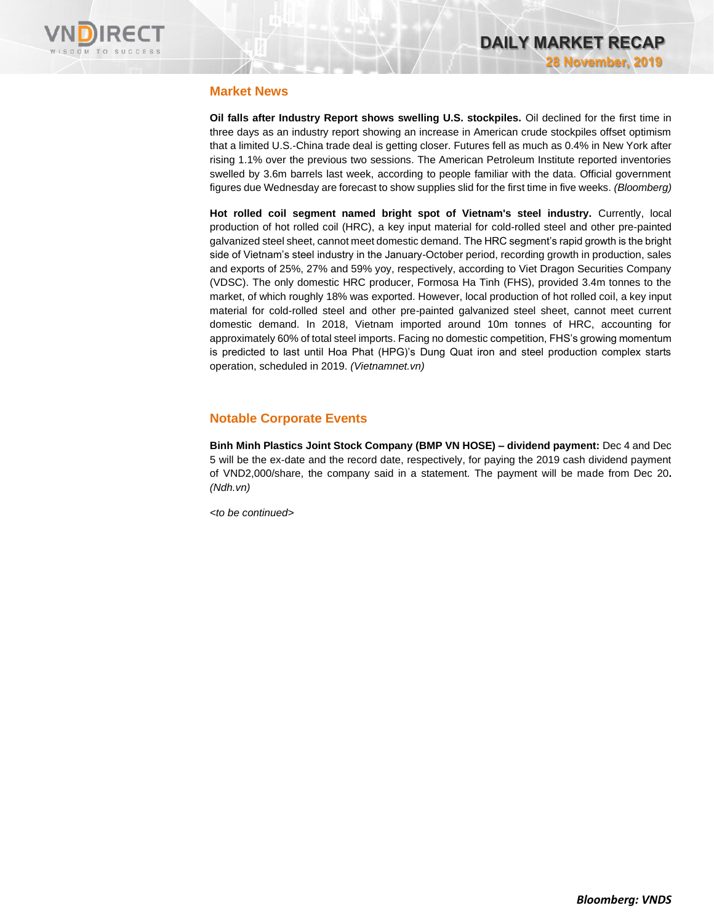

### **Market News**

**Oil falls after Industry Report shows swelling U.S. stockpiles.** Oil declined for the first time in three days as an industry report showing an increase in American crude stockpiles offset optimism that a limited U.S.-China trade deal is getting closer. Futures fell as much as 0.4% in New York after rising 1.1% over the previous two sessions. The American Petroleum Institute reported inventories swelled by 3.6m barrels last week, according to people familiar with the data. Official government figures due Wednesday are forecast to show supplies slid for the first time in five weeks. *(Bloomberg)*

**Hot rolled coil segment named bright spot of Vietnam's steel industry.** Currently, local production of hot rolled coil (HRC), a key input material for cold-rolled steel and other pre-painted galvanized steel sheet, cannot meet domestic demand. The HRC segment's rapid growth is the bright side of Vietnam's steel industry in the January-October period, recording growth in production, sales and exports of 25%, 27% and 59% yoy, respectively, according to Viet Dragon Securities Company (VDSC). The only domestic HRC producer, Formosa Ha Tinh (FHS), provided 3.4m tonnes to the market, of which roughly 18% was exported. However, local production of hot rolled coil, a key input material for cold-rolled steel and other pre-painted galvanized steel sheet, cannot meet current domestic demand. In 2018, Vietnam imported around 10m tonnes of HRC, accounting for approximately 60% of total steel imports. Facing no domestic competition, FHS's growing momentum is predicted to last until Hoa Phat (HPG)'s Dung Quat iron and steel production complex starts operation, scheduled in 2019. *(Vietnamnet.vn)*

# **Notable Corporate Events**

**Binh Minh Plastics Joint Stock Company (BMP VN HOSE) – dividend payment:** Dec 4 and Dec 5 will be the ex-date and the record date, respectively, for paying the 2019 cash dividend payment of VND2,000/share, the company said in a statement. The payment will be made from Dec 20**.** *(Ndh.vn)*

*<to be continued>*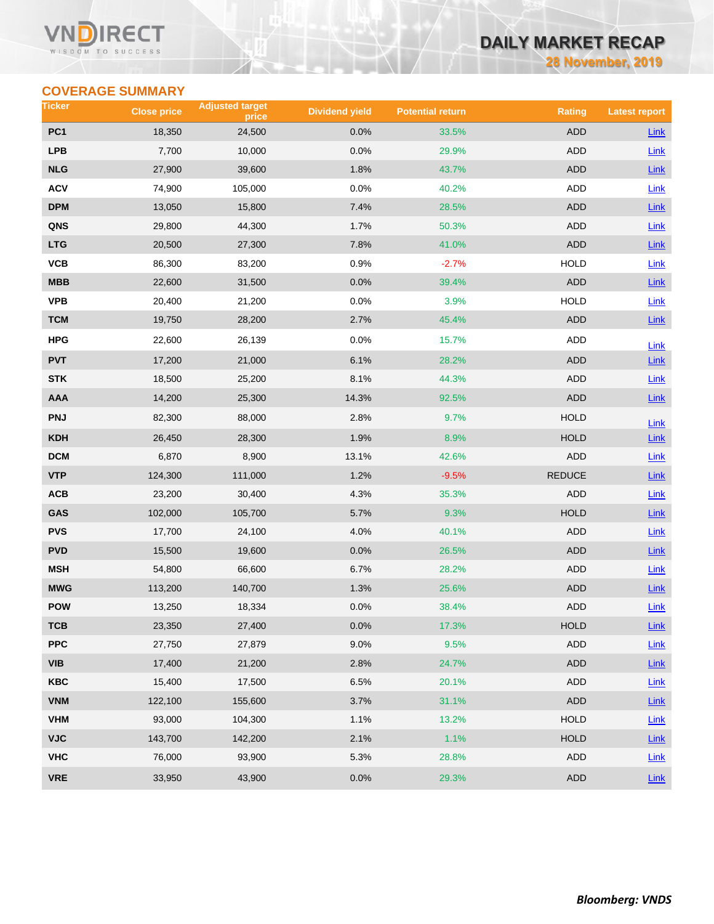### VN RECT WISDOM TO SUCCESS

# **DAILY MARKET RECAP**

**28 November, 2019**

# **COVERAGE SUMMARY**

| Ticker          | <b>Close price</b> | <b>Adjusted target</b><br>price | <b>Dividend yield</b> | <b>Potential return</b> | <b>Rating</b> | <b>Latest report</b> |
|-----------------|--------------------|---------------------------------|-----------------------|-------------------------|---------------|----------------------|
| PC <sub>1</sub> | 18,350             | 24,500                          | 0.0%                  | 33.5%                   | <b>ADD</b>    | <b>Link</b>          |
| <b>LPB</b>      | 7,700              | 10,000                          | 0.0%                  | 29.9%                   | ADD           | Link                 |
| <b>NLG</b>      | 27,900             | 39,600                          | 1.8%                  | 43.7%                   | <b>ADD</b>    | Link                 |
| <b>ACV</b>      | 74,900             | 105,000                         | 0.0%                  | 40.2%                   | ADD           | Link                 |
| DPM             | 13,050             | 15,800                          | 7.4%                  | 28.5%                   | ADD           | Link                 |
| QNS             | 29,800             | 44,300                          | 1.7%                  | 50.3%                   | ADD           | <b>Link</b>          |
| <b>LTG</b>      | 20,500             | 27,300                          | 7.8%                  | 41.0%                   | <b>ADD</b>    | $Link$               |
| VCB             | 86,300             | 83,200                          | 0.9%                  | $-2.7%$                 | <b>HOLD</b>   | Link                 |
| MBB             | 22,600             | 31,500                          | 0.0%                  | 39.4%                   | ADD           | Link                 |
| <b>VPB</b>      | 20,400             | 21,200                          | 0.0%                  | 3.9%                    | <b>HOLD</b>   | Link                 |
| <b>TCM</b>      | 19,750             | 28,200                          | 2.7%                  | 45.4%                   | <b>ADD</b>    | Link                 |
| <b>HPG</b>      | 22,600             | 26,139                          | 0.0%                  | 15.7%                   | ADD           | Link                 |
| <b>PVT</b>      | 17,200             | 21,000                          | 6.1%                  | 28.2%                   | <b>ADD</b>    | Link                 |
| <b>STK</b>      | 18,500             | 25,200                          | 8.1%                  | 44.3%                   | ADD           | Link                 |
| AAA             | 14,200             | 25,300                          | 14.3%                 | 92.5%                   | <b>ADD</b>    | Link                 |
| <b>PNJ</b>      | 82,300             | 88,000                          | 2.8%                  | 9.7%                    | <b>HOLD</b>   | Link                 |
| <b>KDH</b>      | 26,450             | 28,300                          | 1.9%                  | 8.9%                    | <b>HOLD</b>   | Link                 |
| <b>DCM</b>      | 6,870              | 8,900                           | 13.1%                 | 42.6%                   | ADD           | Link                 |
| <b>VTP</b>      | 124,300            | 111,000                         | 1.2%                  | $-9.5%$                 | <b>REDUCE</b> | $Link$               |
| ACB             | 23,200             | 30,400                          | 4.3%                  | 35.3%                   | ADD           | Link                 |
| GAS             | 102,000            | 105,700                         | 5.7%                  | 9.3%                    | <b>HOLD</b>   | Link                 |
| <b>PVS</b>      | 17,700             | 24,100                          | 4.0%                  | 40.1%                   | <b>ADD</b>    | Link                 |
| <b>PVD</b>      | 15,500             | 19,600                          | 0.0%                  | 26.5%                   | ADD           | Link                 |
| <b>MSH</b>      | 54,800             | 66,600                          | 6.7%                  | 28.2%                   | ADD           | Link                 |
| <b>MWG</b>      | 113,200            | 140,700                         | 1.3%                  | 25.6%                   | ADD           | Link                 |
| <b>POW</b>      | 13,250             | 18,334                          | 0.0%                  | 38.4%                   | <b>ADD</b>    | Link                 |
| ТСВ             | 23,350             | 27,400                          | 0.0%                  | 17.3%                   | <b>HOLD</b>   | <b>Link</b>          |
| <b>PPC</b>      | 27,750             | 27,879                          | 9.0%                  | 9.5%                    | <b>ADD</b>    | Link                 |
| VIB             | 17,400             | 21,200                          | 2.8%                  | 24.7%                   | ADD           | $Link$               |
| <b>KBC</b>      | 15,400             | 17,500                          | 6.5%                  | 20.1%                   | ADD           | Link                 |
| <b>VNM</b>      | 122,100            | 155,600                         | 3.7%                  | 31.1%                   | ADD           | Link                 |
| <b>VHM</b>      | 93,000             | 104,300                         | 1.1%                  | 13.2%                   | <b>HOLD</b>   | Link                 |
| <b>VJC</b>      | 143,700            | 142,200                         | 2.1%                  | 1.1%                    | <b>HOLD</b>   | Link                 |
| <b>VHC</b>      | 76,000             | 93,900                          | 5.3%                  | 28.8%                   | ADD           | Link                 |
| <b>VRE</b>      | 33,950             | 43,900                          | 0.0%                  | 29.3%                   | <b>ADD</b>    | $Link$               |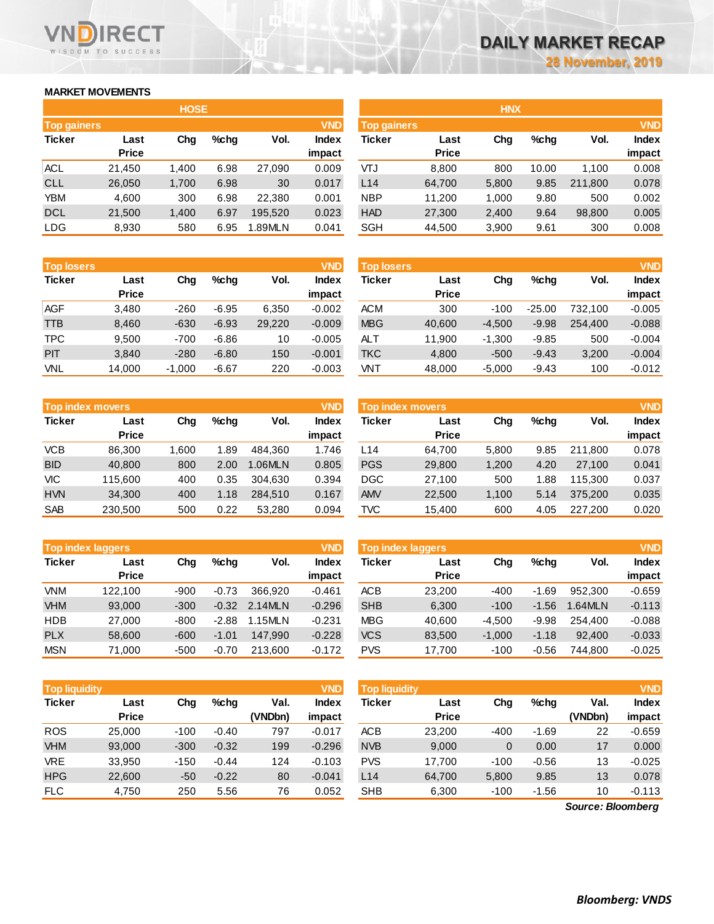## **MARKET MOVEMENTS**

WISDOM TO SUCCESS

**RECT** 

|                    | <b>HOSE</b>  |       |      |         |              |  |  |  |  |  |
|--------------------|--------------|-------|------|---------|--------------|--|--|--|--|--|
| <b>Top gainers</b> |              |       |      |         | <b>VND</b>   |  |  |  |  |  |
| <b>Ticker</b>      | Last         | Cha   | %chq | Vol.    | <b>Index</b> |  |  |  |  |  |
|                    | <b>Price</b> |       |      |         | impact       |  |  |  |  |  |
| ACL.               | 21,450       | 1,400 | 6.98 | 27,090  | 0.009        |  |  |  |  |  |
| <b>CLL</b>         | 26,050       | 1,700 | 6.98 | 30      | 0.017        |  |  |  |  |  |
| YBM                | 4,600        | 300   | 6.98 | 22,380  | 0.001        |  |  |  |  |  |
| <b>DCL</b>         | 21,500       | 1,400 | 6.97 | 195,520 | 0.023        |  |  |  |  |  |
| <b>LDG</b>         | 8,930        | 580   | 6.95 | 1.89MLN | 0.041        |  |  |  |  |  |

| <b>Top losers</b> |              |          |         |        | <b>VND</b>   |
|-------------------|--------------|----------|---------|--------|--------------|
| <b>Ticker</b>     | Last         | Cha      | %chq    | Vol.   | <b>Index</b> |
|                   | <b>Price</b> |          |         |        | impact       |
| <b>AGF</b>        | 3,480        | $-260$   | $-6.95$ | 6,350  | $-0.002$     |
| <b>TTB</b>        | 8,460        | $-630$   | $-6.93$ | 29,220 | $-0.009$     |
| <b>TPC</b>        | 9,500        | $-700$   | $-6.86$ | 10     | $-0.005$     |
| PIT               | 3.840        | $-280$   | $-6.80$ | 150    | $-0.001$     |
| <b>VNL</b>        | 14,000       | $-1,000$ | $-6.67$ | 220    | $-0.003$     |

|               | <b>VND</b><br><b>Top index movers</b> |       |      |         |              |  |  |  |  |  |
|---------------|---------------------------------------|-------|------|---------|--------------|--|--|--|--|--|
| <b>Ticker</b> | Last                                  | Cha   | %chq | Vol.    | <b>Index</b> |  |  |  |  |  |
|               | <b>Price</b>                          |       |      |         | impact       |  |  |  |  |  |
| <b>VCB</b>    | 86,300                                | 1,600 | 1.89 | 484,360 | 1.746        |  |  |  |  |  |
| <b>BID</b>    | 40,800                                | 800   | 2.00 | 1.06MLN | 0.805        |  |  |  |  |  |
| VIC           | 115,600                               | 400   | 0.35 | 304.630 | 0.394        |  |  |  |  |  |
| <b>HVN</b>    | 34,300                                | 400   | 1.18 | 284.510 | 0.167        |  |  |  |  |  |
| <b>SAB</b>    | 230,500                               | 500   | 0.22 | 53,280  | 0.094        |  |  |  |  |  |

|               | <b>VND</b><br><b>Top index laggers</b> |        |         |         |              |  |  |  |  |  |
|---------------|----------------------------------------|--------|---------|---------|--------------|--|--|--|--|--|
| <b>Ticker</b> | Last                                   | Cha    | $%$ chq | Vol.    | <b>Index</b> |  |  |  |  |  |
|               | <b>Price</b>                           |        |         |         | impact       |  |  |  |  |  |
| <b>VNM</b>    | 122,100                                | -900   | $-0.73$ | 366.920 | $-0.461$     |  |  |  |  |  |
| <b>VHM</b>    | 93,000                                 | $-300$ | $-0.32$ | 2.14MLN | $-0.296$     |  |  |  |  |  |
| <b>HDB</b>    | 27,000                                 | -800   | $-2.88$ | 1.15MLN | $-0.231$     |  |  |  |  |  |
| <b>PLX</b>    | 58,600                                 | $-600$ | $-1.01$ | 147.990 | $-0.228$     |  |  |  |  |  |
| <b>MSN</b>    | 71,000                                 | $-500$ | $-0.70$ | 213,600 | $-0.172$     |  |  |  |  |  |

|               | <b>VND</b><br><b>Top liquidity</b> |        |         |         |              |  |  |  |  |  |
|---------------|------------------------------------|--------|---------|---------|--------------|--|--|--|--|--|
| <b>Ticker</b> | Last                               | Cha    | %chq    | Val.    | <b>Index</b> |  |  |  |  |  |
|               | <b>Price</b>                       |        |         | (VNDbn) | impact       |  |  |  |  |  |
| <b>ROS</b>    | 25,000                             | $-100$ | $-0.40$ | 797     | $-0.017$     |  |  |  |  |  |
| <b>VHM</b>    | 93.000                             | $-300$ | $-0.32$ | 199     | $-0.296$     |  |  |  |  |  |
| <b>VRE</b>    | 33,950                             | $-150$ | $-0.44$ | 124     | $-0.103$     |  |  |  |  |  |
| <b>HPG</b>    | 22,600                             | -50    | $-0.22$ | 80      | $-0.041$     |  |  |  |  |  |
| <b>FLC</b>    | 4,750                              | 250    | 5.56    | 76      | 0.052        |  |  |  |  |  |

|                    |              | <b>HOSE</b> |         |         |              | <b>HNX</b>         |              |       |         |         |              |
|--------------------|--------------|-------------|---------|---------|--------------|--------------------|--------------|-------|---------|---------|--------------|
| <b>Top gainers</b> |              |             |         |         | <b>VND</b>   | <b>Top gainers</b> |              |       |         |         | <b>VND</b>   |
| Ticker             | Last         | Chg         | $%$ chq | Vol.    | <b>Index</b> | Ticker             | Last         | Chg   | $%$ chq | Vol.    | <b>Index</b> |
|                    | <b>Price</b> |             |         |         | impact       |                    | <b>Price</b> |       |         |         | impact       |
| ACL                | 21.450       | 1.400       | 6.98    | 27.090  | 0.009        | <b>LTV</b>         | 8,800        | 800   | 10.00   | 1.100   | 0.008        |
| CLL                | 26,050       | 1,700       | 6.98    | 30      | 0.017        | L14                | 64,700       | 5,800 | 9.85    | 211,800 | 0.078        |
| YBM                | 4,600        | 300         | 6.98    | 22,380  | 0.001        | <b>NBP</b>         | 11,200       | 1,000 | 9.80    | 500     | 0.002        |
| DCL                | 21,500       | 1,400       | 6.97    | 195.520 | 0.023        | <b>HAD</b>         | 27,300       | 2,400 | 9.64    | 98,800  | 0.005        |
| LDG                | 8,930        | 580         | 6.95    | 1.89MLN | 0.041        | SGH                | 44,500       | 3,900 | 9.61    | 300     | 0.008        |
|                    |              |             |         |         |              |                    |              |       |         |         |              |

| <b>Top losers</b> |                      |          |         |        | <b>VND</b>      | <b>Top losers</b> |                      |          |          |         | <b>VND</b>             |
|-------------------|----------------------|----------|---------|--------|-----------------|-------------------|----------------------|----------|----------|---------|------------------------|
| <b>Ticker</b>     | Last<br><b>Price</b> | Chg      | $%$ chq | Vol.   | Index<br>impact | Ticker            | Last<br><b>Price</b> | Chg      | $%$ chq  | Vol.    | <b>Index</b><br>impact |
| AGF               | 3,480                | $-260$   | $-6.95$ | 6,350  | $-0.002$        | <b>ACM</b>        | 300                  | $-100$   | $-25.00$ | 732.100 | $-0.005$               |
| TTB               | 8,460                | $-630$   | $-6.93$ | 29,220 | $-0.009$        | <b>MBG</b>        | 40,600               | $-4.500$ | $-9.98$  | 254,400 | $-0.088$               |
| TPC               | 9.500                | $-700$   | $-6.86$ | 10     | $-0.005$        | <b>ALT</b>        | 11.900               | $-1.300$ | $-9.85$  | 500     | $-0.004$               |
| PIT               | 3,840                | $-280$   | $-6.80$ | 150    | $-0.001$        | <b>TKC</b>        | 4.800                | $-500$   | $-9.43$  | 3,200   | $-0.004$               |
| VNL               | 14,000               | $-1,000$ | $-6.67$ | 220    | $-0.003$        | VNT               | 48,000               | $-5,000$ | $-9.43$  | 100     | $-0.012$               |

|            | Top index movers     |       |         |         | <b>VND</b>      | Top index movers |                      |       |         |         |                        |  |
|------------|----------------------|-------|---------|---------|-----------------|------------------|----------------------|-------|---------|---------|------------------------|--|
| Ticker     | Last<br><b>Price</b> | Chg   | $%$ chq | Vol.    | Index<br>impact | Ticker           | Last<br><b>Price</b> | Chg   | $%$ chq | Vol.    | <b>Index</b><br>impact |  |
| VCB        | 86.300               | 1.600 | 1.89    | 484.360 | 1.746           | L14              | 64.700               | 5.800 | 9.85    | 211.800 | 0.078                  |  |
| <b>BID</b> | 40.800               | 800   | 2.00    | 1.06MLN | 0.805           | <b>PGS</b>       | 29,800               | 1.200 | 4.20    | 27.100  | 0.041                  |  |
| VIC        | 115,600              | 400   | 0.35    | 304.630 | 0.394           | DGC              | 27.100               | 500   | 1.88    | 115.300 | 0.037                  |  |
| <b>HVN</b> | 34.300               | 400   | 1.18    | 284.510 | 0.167           | <b>AMV</b>       | 22,500               | 1.100 | 5.14    | 375.200 | 0.035                  |  |
| <b>SAB</b> | 230.500              | 500   | 0.22    | 53.280  | 0.094           | TVC              | 15.400               | 600   | 4.05    | 227.200 | 0.020                  |  |

|            | <b>Top index laggers</b> |        |         |         | VND      | Top index laggers |              |          |         |         |              |
|------------|--------------------------|--------|---------|---------|----------|-------------------|--------------|----------|---------|---------|--------------|
| Ticker     | Last                     | Chg    | $%$ chq | Vol.    | Index    | Ticker            | Last         | Chg      | %chq    | Vol.    | <b>Index</b> |
|            | <b>Price</b>             |        |         |         | impact   |                   | <b>Price</b> |          |         |         | impact       |
| <b>VNM</b> | 122.100                  | $-900$ | $-0.73$ | 366.920 | $-0.461$ | <b>ACB</b>        | 23.200       | $-400$   | $-1.69$ | 952.300 | $-0.659$     |
| <b>VHM</b> | 93,000                   | $-300$ | $-0.32$ | 2.14MLN | $-0.296$ | <b>SHB</b>        | 6,300        | $-100$   | $-1.56$ | 1.64MLN | $-0.113$     |
| HDB        | 27,000                   | $-800$ | $-2.88$ | 1.15MLN | $-0.231$ | <b>MBG</b>        | 40.600       | $-4.500$ | $-9.98$ | 254.400 | $-0.088$     |
| <b>PLX</b> | 58,600                   | $-600$ | $-1.01$ | 147.990 | $-0.228$ | <b>VCS</b>        | 83,500       | $-1.000$ | $-1.18$ | 92.400  | $-0.033$     |
| MSN        | 71.000                   | $-500$ | $-0.70$ | 213.600 | $-0.172$ | <b>PVS</b>        | 17.700       | $-100$   | $-0.56$ | 744.800 | $-0.025$     |

| <b>Top liquidity</b> |              |        |         |         | <b>VND</b>   | <b>Top liquidity</b> |              |        |         |                   | <b>VND</b>   |
|----------------------|--------------|--------|---------|---------|--------------|----------------------|--------------|--------|---------|-------------------|--------------|
| <b>Ticker</b>        | Last         | Chg    | $%$ chq | Val.    | <b>Index</b> | <b>Ticker</b>        | Last         | Chg    | $%$ chq | Val.              | <b>Index</b> |
|                      | <b>Price</b> |        |         | (VNDbn) | impact       |                      | <b>Price</b> |        |         | (VNDbn)           | impact       |
| ROS                  | 25,000       | $-100$ | $-0.40$ | 797     | $-0.017$     | <b>ACB</b>           | 23,200       | $-400$ | $-1.69$ | 22                | $-0.659$     |
| <b>VHM</b>           | 93,000       | $-300$ | $-0.32$ | 199     | $-0.296$     | <b>NVB</b>           | 9,000        | 0      | 0.00    | 17                | 0.000        |
| VRE                  | 33,950       | $-150$ | $-0.44$ | 124     | $-0.103$     | <b>PVS</b>           | 17.700       | $-100$ | $-0.56$ | 13                | $-0.025$     |
| <b>HPG</b>           | 22,600       | $-50$  | $-0.22$ | 80      | $-0.041$     | L14                  | 64,700       | 5,800  | 9.85    | 13                | 0.078        |
| <b>FLC</b>           | 4,750        | 250    | 5.56    | 76      | 0.052        | <b>SHB</b>           | 6,300        | $-100$ | $-1.56$ | 10                | $-0.113$     |
|                      |              |        |         |         |              |                      |              |        |         | Source: Bloomberg |              |

*Source: Bloomberg*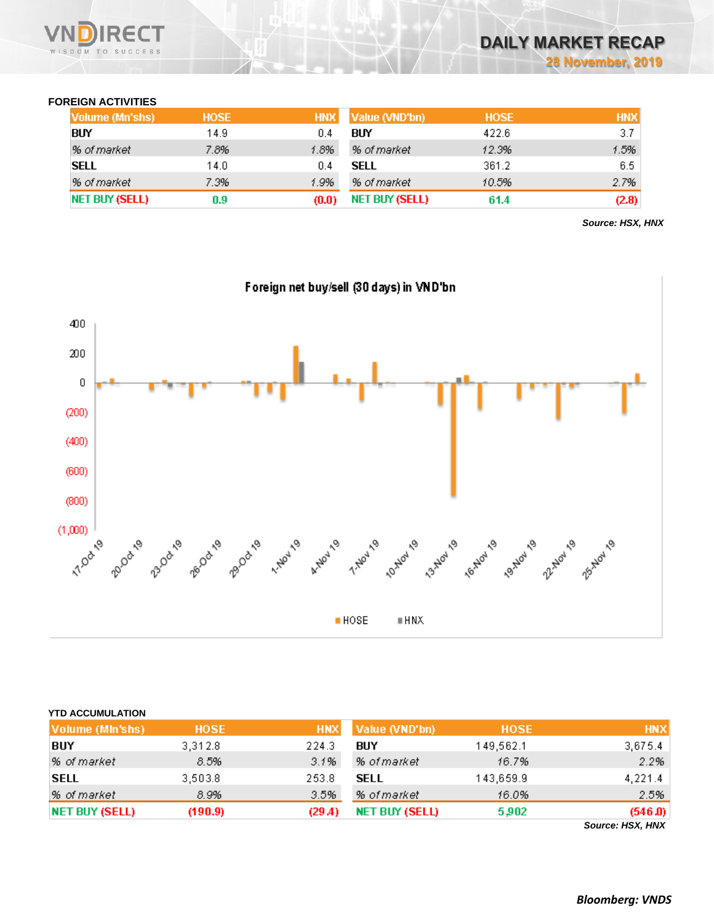

### **FOREIGN ACTIVITIES**

| Volume (Mn'shs) | <b>HOSE</b> | <b>HNX</b> | Value (VND'bn)        | <b>HOSE</b> | <b>HNX</b> |
|-----------------|-------------|------------|-----------------------|-------------|------------|
| <b>BUY</b>      | 14.9        | 0.4        | BUY                   | 422.6       | 3.7        |
| % of market     | 7.8%        | 1.8%       | % of market           | 12.3%       | 1.5%       |
| <b>SELL</b>     | 14.0        | 0.4        | SELL                  | 361.2       | 6.5        |
| % of market     | 7.3%        | 1.9%       | % of market           | 10.5%       | 2.7%       |
| NET BUY (SELL)  | 0.9         | (0.0)      | <b>NET BUY (SELL)</b> | 61.4        | (2.8)      |

*Source: HSX, HNX*



| Volume (MIn'shs)      | <b>HOSE</b> | <b>HNX</b> | Value (VND'bn)        | <b>HOSE</b> | <b>HNX</b>                  |
|-----------------------|-------------|------------|-----------------------|-------------|-----------------------------|
| BUY                   | 3,312.8     | 224.3      | BUY                   | 149,562.1   | 3,675.4                     |
| % of market           | 8.5%        | 3.1%       | % of market           | 16.7%       | 2.2%                        |
| <b>SELL</b>           | 3,503.8     | 253.8      | <b>SELL</b>           | 143,659.9   | 4,221.4                     |
| % of market           | 8.9%        | 3.5%       | % of market           | 16.0%       | 2.5%                        |
| <b>NET BUY (SELL)</b> | (190.9)     | (29.4)     | <b>NET BUY (SELL)</b> | 5,902       | (546.0)<br>Source: HSX, HNX |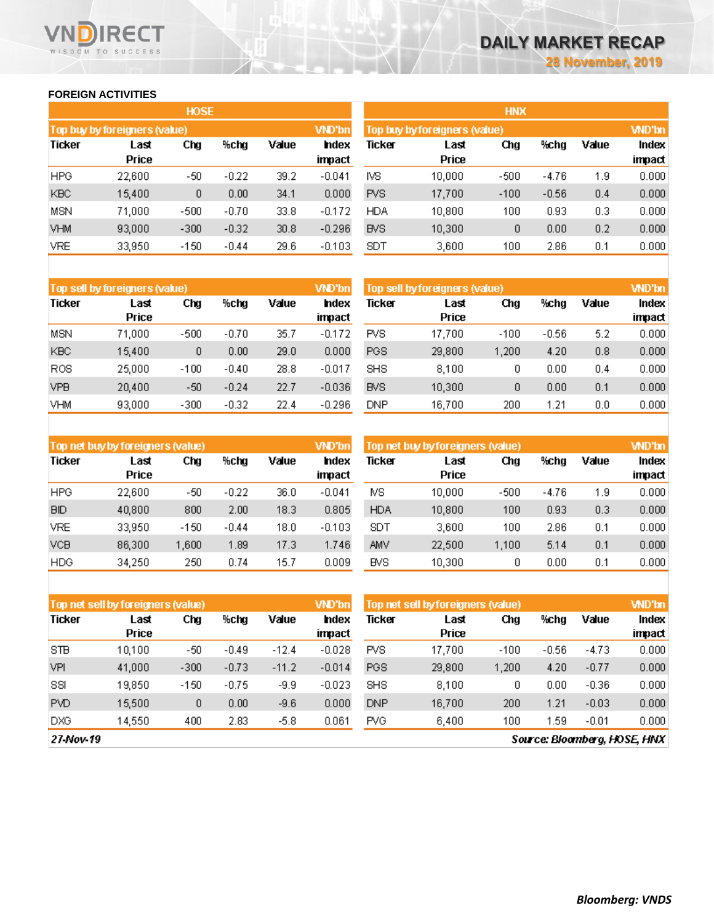### **FOREIGN ACTIVITIES**

WISDOM TO SUCCESS

**RECT** 

|            |                               | <b>HOSE</b> |         |       |               | <b>HNX</b>                    |        |              |         |       |        |  |
|------------|-------------------------------|-------------|---------|-------|---------------|-------------------------------|--------|--------------|---------|-------|--------|--|
|            | Top buy by foreigners (value) |             |         |       | <b>VND'bn</b> | Top buy by foreigners (value) |        | <b>WD'bn</b> |         |       |        |  |
| Ticker     | Chg<br>%chg<br>Last           |             |         | Value | hdex          | Ticker                        | Last   | Chg          | %chg    | Value | Index  |  |
|            | Price                         |             |         |       | impact        |                               | Price  |              |         |       | impact |  |
| <b>HPG</b> | 22,600                        | -50         | $-0.22$ | 39.2  | $-0.041$      | IVS.                          | 10,000 | $-500$       | $-4.76$ | 1.9   | 0.000  |  |
| <b>KBC</b> | 15,400                        | 0           | 0.00    | 34.1  | 0.000         | <b>PVS</b>                    | 17,700 | $-100$       | $-0.56$ | 0.4   | 0.000  |  |
| MSN        | 71,000                        | $-500$      | $-0.70$ | 33.8  | $-0.172$      | <b>HDA</b>                    | 10,800 | 100          | 0.93    | 0.3   | 0.000  |  |
| <b>VHM</b> | 93,000                        | $-300$      | $-0.32$ | 30.8  | $-0.296$      | <b>BVS</b>                    | 10,300 | 0            | 0.00    | 0.2   | 0.000  |  |
| <b>VRE</b> | 33,950                        | $-150$      | $-0.44$ | 29.6  | $-0.103$      | <b>SDT</b>                    | 3,600  | 100          | 2.86    | 0.1   | 0.000  |  |

| Top sell by foreigners (value) |                      |        |         |       | VND'bn          | Top sell by foreigners (value) |               |        |         |       |                 |
|--------------------------------|----------------------|--------|---------|-------|-----------------|--------------------------------|---------------|--------|---------|-------|-----------------|
| <b>Ticker</b>                  | Last<br><b>Price</b> | Chg    | %chg    | Value | Index<br>impact | Ticker                         | Last<br>Price | Chg    | %chg    | Value | Index<br>impact |
| MSN                            | 71,000               | $-500$ | $-0.70$ | 35.7  | $-0.172$        | PVS.                           | 17,700        | $-100$ | $-0.56$ | 5.2   | 0.000           |
| <b>KBC</b>                     | 15,400               | 0      | 0.00    | 29.0  | 0.000           | <b>PGS</b>                     | 29,800        | 1.200  | 4.20    | 0.8   | 0.000           |
| <b>ROS</b>                     | 25,000               | $-100$ | $-0.40$ | 28.8  | $-0.017$        | <b>SHS</b>                     | 8.100         | 0      | 0.00    | 0.4   | 0.000           |
| <b>VPB</b>                     | 20,400               | -50    | $-0.24$ | 22.7  | $-0.036$        | <b>BVS</b>                     | 10,300        | 0      | 0.00    | 0.1   | 0.000           |
| VHM                            | 93,000               | $-300$ | $-0.32$ | 22.4  | $-0.296$        | DNP                            | 16,700        | 200    | 1.21    | 0.0   | 0.000           |

| Top net buy by foreigners (value) |                      |        |         |       | VND'bn                | Top net buy by foreigners (value) | <b>WD'bn</b>         |        |         |       |                 |
|-----------------------------------|----------------------|--------|---------|-------|-----------------------|-----------------------------------|----------------------|--------|---------|-------|-----------------|
| Ticker                            | Last<br><b>Price</b> | Chg    | %chg    | Value | <b>ndex</b><br>impact | Ticker                            | Last<br><b>Price</b> | Chg    | %chg    | Value | Index<br>impact |
| <b>HPG</b>                        | 22,600               | -50    | $-0.22$ | 36.0  | $-0.041$              | MS.                               | 10,000               | $-500$ | $-4.76$ | 1.9   | 0.000           |
| <b>BID</b>                        | 40,800               | 800    | 2.00    | 18.3  | 0.805                 | <b>HDA</b>                        | 10,800               | 100    | 0.93    | 0.3   | 0.000           |
| <b>VRE</b>                        | 33,950               | $-150$ | $-0.44$ | 18.0  | $-0.103$              | SDT                               | 3,600                | 100    | 2.86    | 0.1   | 0.000           |
| <b>VCB</b>                        | 86,300               | 1,600  | 1.89    | 17.3  | 1.746                 | AMV                               | 22,500               | 1.100  | 5.14    | 0.1   | 0.000           |
| <b>HDG</b>                        | 34.250               | 250    | 0.74    | 15.7  | 0.009                 | <b>BVS</b>                        | 10.300               | 0      | 0.00    | 0.1   | 0.000           |

| Top net sell by foreigners (value) |                      |        |         |         | VND'bn                 | Top net sell by foreigners (value) |               |        |         |         |                 |  |
|------------------------------------|----------------------|--------|---------|---------|------------------------|------------------------------------|---------------|--------|---------|---------|-----------------|--|
| <b>Ticker</b>                      | Last<br><b>Price</b> | Chg    | %chg    | Value   | <b>Index</b><br>impact | Ticker                             | Last<br>Price | Chg    | %chg    | Value   | Index<br>impact |  |
| <b>STB</b>                         | 10.100               | -50    | $-0.49$ | $-12.4$ | $-0.028$               | <b>PVS</b>                         | 17.700        | $-100$ | $-0.56$ | $-4.73$ | 0.000           |  |
| VPI                                | 41,000               | $-300$ | $-0.73$ | $-11.2$ | $-0.014$               | <b>PGS</b>                         | 29,800        | 1.200  | 4.20    | $-0.77$ | 0.000           |  |
| SSI                                | 19.850               | $-150$ | $-0.75$ | $-9.9$  | $-0.023$               | SHS.                               | 8,100         | 0      | 0.00    | $-0.36$ | 0.000           |  |
| <b>PVD</b>                         | 15,500               | 0      | 0.00    | $-9.6$  | 0.000                  | <b>DNP</b>                         | 16,700        | 200    | 1.21    | $-0.03$ | 0.000           |  |
| <b>DXG</b>                         | 14,550               | 400    | 2.83    | $-5.8$  | 0.061                  | <b>PVG</b>                         | 6.400         | 100    | 1.59    | $-0.01$ | 0.000           |  |

27-Nov-19

Source: Bloomberg, HOSE, HNX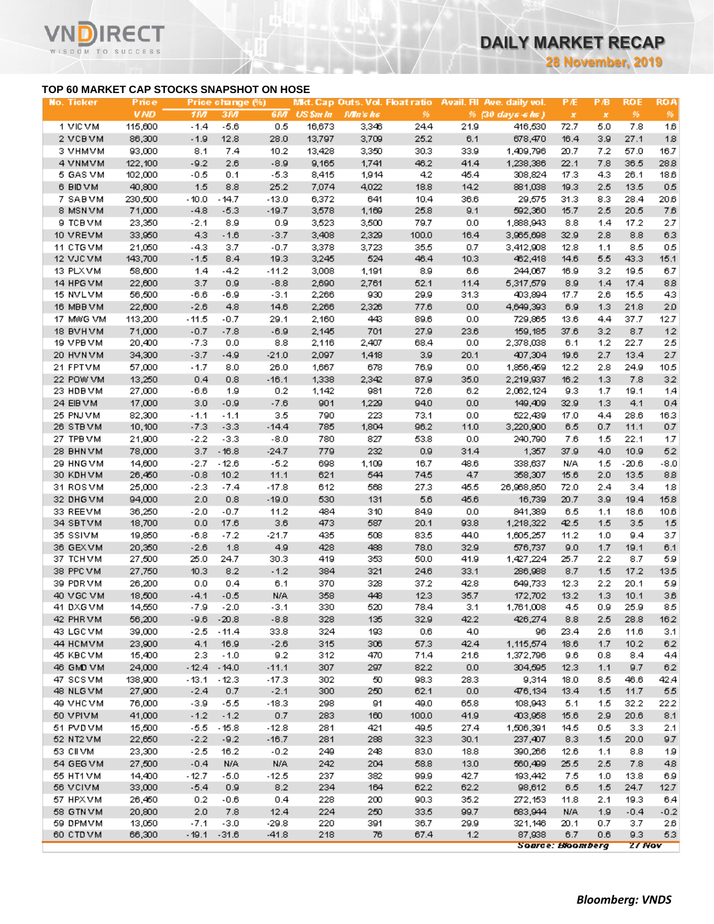**28 November, 2019**

### **TOP 60 MARKET CAP STOCKS SNAPSHOT ON HOSE**

΄Τ

WISDOM TO SUCCESS

| <b>No. Ticker</b>    | Price            |               | Price change (%) |             |            |              |             |              | Mkt. Cap Outs. Vol. Float ratio Avail. All Ave. daily vol. | <b>PÆ</b>    | PВ         | <b>ROE</b>    | <b>ROA</b> |
|----------------------|------------------|---------------|------------------|-------------|------------|--------------|-------------|--------------|------------------------------------------------------------|--------------|------------|---------------|------------|
|                      | <b>VND</b>       | 1107          | 31/7             | 6M          | US\$m In   | Mn's hs      | 96          |              | % (30 days 6 hs)                                           | $\pmb{\chi}$ | $\pmb{x}$  | 96            | 96         |
| 1 VIC VM             | 115,600          | $-1.4$        | $-5.6$           | 0.5         | 16,673     | 3,346        | 24.4        | 21.9         | 416,530                                                    | 72.7         | 5.0        | 7.8           | 16         |
| 2 VCBVM              | 86,300           | $-1.9$        | 12.8             | 28.0        | 13,797     | 3,709        | 25.2        | 6.1          | 678,470                                                    | 16.4         | 3.9        | 27.1          | 1.8        |
| 3 VHMVM              | 93,000           | 8.1           | 7.4              | 10.2        | 13,428     | 3,350        | 30.3        | 33.9         | 1,409,796                                                  | 20.7         | 7.2        | 57.0          | 16.7       |
| 4 VNMVM              | 122,100          | $-9.2$        | 2.6              | $-8.9$      | 9,165      | 1,741        | 46.2        | 41.4         | 1,238,386                                                  | 22.1         | 7.8        | 36.5          | 28.8       |
| 5 GAS VM             | 102,000          | $-0.5$        | 0.1              | $-5.3$      | 8,415      | 1,914        | 4.2         | 45.4         | 308,824                                                    | 17.3         | 4.3        | 26.1          | 18.6       |
| 6 BID VM             | 40,800           | 1.5           | 8.8              | 25.2        | 7,074      | 4,022        | 18.8        | 14.2         | 881,038                                                    | 19.3         | 2.5        | 13.5          | 0.5        |
| 7 SABVM              | 230,500          | $-10.0$       | $-14.7$          | $-13.0$     | 6,372      | 641          | 10.4        | 36.6         | 29,575                                                     | 31.3         | 8.3        | 28.4          | 20.6       |
| 8 MSN VM             | 71,000           | $-4.8$        | $-5.3$           | $-19.7$     | 3,578      | 1,169        | 25.8        | 9.1          | 592,360                                                    | 15.7         | 2.5        | 20.5          | 7.6        |
| 9 ТСВ УМ             | 23,350           | $-2.1$        | 8.9              | 0.9         | 3,523      | 3,500        | 79.7        | 0.0          | 1,888,943                                                  | 8.8          | 1.4        | 17.2          | 2.7        |
| 10 VREVM             | 33,950           | 4.3           | $-1.6$           | $-3.7$      | 3,408      | 2,329        | 100.0       | 16.4         | 3,965,698                                                  | 32.9         | 2.8        | 8.8           | 6.3        |
| 11 CTGVM             | 21,050           | $-4.3$        | 3.7              | $-0.7$      | 3,378      | 3,723        | 35.5        | 0.7          | 3,412,908                                                  | 12.8         | 1.1        | 8.5           | 0.5        |
| 12 VJC VM            | 143,700          | $-1.5$        | 8.4              | 19.3        | 3,245      | 524          | 46.4        | 10.3         | 462,418                                                    | 14.6         | 5.5        | 43.3          | 15.1       |
| 13 PLXVM             | 58,600           | 1.4           | $-4.2$           | $-11.2$     | 3,008      | 1,191        | 8.9         | 6.6          | 244,067                                                    | 16.9         | 3.2        | 19.5          | 6.7        |
| 14 HPG VM            | 22,600           | 3.7           | 0.9              | $-8.8$      | 2,690      | 2,761        | 52.1        | 11.4         | 5,317,579                                                  | 8.9          | 1.4        | 17.4          | 88         |
| 15 NVLVM             | 56,500           | $-6.6$        | -6.9             | $-3.1$      | 2,266      | 930          | 29.9        | 31.3         | 403,894                                                    | 17.7         | 2.6        | 15.5          | 43         |
| 16 MBB VM            | 22,600           | $-2.6$        | 4.8              | 14.6        | 2,266      | 2,326        | 77.6        | 0.0          | 4,649,393                                                  | 6.9          | 1.3        | 21.8          | 2.0        |
| 17 MWG VM            | 113,200          | $-11.5$       | $-0.7$           | 29.1        | 2,160      | 443          | 89.6        | 0.0          | 729,865                                                    | 13.6         | 4.4        | 37.7          | 12.7       |
| 18 BVHVM             | 71,000           | $-0.7$        | $-7.8$           | $-6.9$      | 2,145      | 701          | 27.9        | 23.6         | 159,185                                                    | 37.6         | 3.2        | 8.7           | 12         |
| 19 VPB VM            | 20,400           | $-7.3$        | 0.0              | 8.8         | 2,116      | 2,407        | 68.4        | 0.0          | 2,378,038                                                  | 6.1          | 1.2        | 22.7          | 25         |
| 20 HVN VM            | 34,300           | $-3.7$        | $-4.9$           | $-21.0$     | 2,097      | 1,418        | 3.9         | 20.1         | 407,304                                                    | 19.6         | 2.7        | 13.4          | 2.7        |
| 21 FPTVM             | 57,000           | $-1.7$        | 8.0              | 26.0        | 1,667      | 678          | 76.9        | 0.0          | 1,856,459                                                  | 12.2         | 2.8        | 24.9          | 10.5       |
| 22 POW VM            | 13,250           | 0.4           | 0.8              | $-16.1$     | 1,338      | 2,342        | 87.9        | 35.0         | 2,219,937                                                  | 16.2         | 1.3        | 7.8           | 32         |
| 23 HDB VM            | 27,000           | $-6.6$        | 1.9              | 0.2         | 1,142      | 981          | 72.6        | 6.2          | 2,062,124                                                  | 9.3          | 1.7        | 19.1          | 1.4        |
| 24 EIB VM            | 17,000           | 3.0           | $-0.9$           | $-7.6$      | 901        | 1,229        | 94.0        | 0.0          | 149,409                                                    | 32.9         | 1.3        | 4.1           | 0.4        |
| 25 PNJ VM            | 82,300           | $-1.1$        | $-1.1$           | 3.5         | 790        | 223          | 73.1        | 0.0          | 522.439                                                    | 17.0         | 4.4        | 28.6          | 16.3       |
| 26 STBVM             | 10,100           | $-7.3$        | $-3.3$           | $-14.4$     | 785        | 1,804        | 96.2        | 11.0         | 3,220,900                                                  | 6.5          | 0.7        | 11.1          | 0.7        |
| 27 TPB VM            | 21,900           | $-2.2$        | $-3.3$           | $-8.0$      | 780        | 827          | 53.8        | 0.0          | 240,790                                                    | 7.6          | 1.5        | 22.1          | 1.7        |
| 28 BHN VM            | 78,000           | 3.7           | $-16.8$          | $-24.7$     | 779        | 232          | 0.9         | 31.4         | 1,357                                                      | 37.9         | 4.0        | 10.9          | 52         |
| 29 HNG VM            | 14,600           | $-2.7$        | $-12.6$          | $-5.2$      | 698        | 1,109<br>544 | 16.7        | 48.6<br>4.7  | 338,637                                                    | N/A          | 1.5        | $-20.6$       | $-8.0$     |
| 30 KDH VM            | 26,450           | $-0.8$        | 10.2             | 11.1        | 621        |              | 74.5        |              | 358,307                                                    | 15.6         | 2.0        | 13.5          | 88         |
| 31 ROSVM             | 25,000<br>94,000 | $-2.3$<br>2.0 | $-7.4$<br>0.8    | $-17.8$     | 612<br>530 | 568          | 27.3<br>5.6 | 45.5<br>45.6 | 26,968,850                                                 | 72.0         | 2.4<br>3.9 | 3.4<br>19.4   | 1.8        |
| 32 DHG VM            |                  |               | $-0.7$           | $-19.0$     | 484        | 131<br>310   | 84.9        | 0.0          | 16,739                                                     | 20.7         |            |               | 15.8       |
| 33 REEVM<br>34 SBTVM | 36,250<br>18,700 | $-2.0$<br>0.0 | 17.6             | 11.2<br>3.6 | 473        | 587          | 20.1        | 93.8         | 841,389<br>1,218,322                                       | 6.5<br>42.5  | 1.1<br>1.5 | 18.6<br>3.5   | 10.6<br>15 |
| 35 SSIVM             | 19,850           | $-6.8$        | $-7.2$           | $-21.7$     | 435        | 508          | 83.5        | 44.0         | 1,605,257                                                  | 11.2         | 1.0        | 9.4           | 3.7        |
| 36 GEXVM             | 20,350           | $-2.6$        | 1.8              | 4.9         | 428        | 488          | 78.0        | 32.9         | 576,737                                                    | 9.0          | 1.7        | 19.1          | 6.1        |
| 37 TCHVM             | 27,500           | 25.0          | 24.7             | 30.3        | 419        | 353          | 50.0        | 41.9         | 1,427,224                                                  | 25.7         | 2.2        | 8.7           | 59         |
| 38 PPC VM            | 27,750           | 10.3          | 8.2              | $-1.2$      | 384        | 321          | 24.6        | 33.1         | 286,988                                                    | 8.7          | 1.5        | 17.2          | 13.5       |
| 39 PDR VM            | 26,200           | 0.0           | 0.4              | 6.1         | 370        | 328          | 37.2        | 42.8         | 649,733                                                    | 12.3         | 2.2        | 20.1          | 59         |
| 40 VGC VM            | 18,500           | $-4.1$        | $-0.5$           | N/A         | 358        | 448          | 12.3        | 35.7         | 172,702                                                    | 13.2         | 1.3        | 10.1          | 3.6        |
| 41 DXG VM            | 14,550           | $-7.9$        | $-2.0$           | $-3.1$      | 330        | 520          | 78.4        | 3.1          | 1,761,008                                                  | 4.5          | 0.9        | 25.9          | 85         |
| 42 PHR VM            | 56,200           |               | $-9.6 - 20.8$    | $-8.8$      | 328        | 135          | 32.9        | 42.2         | 426,274                                                    | $_{\rm 8.8}$ | $2.5\,$    | 28.8          | 162        |
| 43. LGC VM           | 39,000           | $-2.5$        | $-11.4$          | 33.8        | 324        | 193          | 0.6         | 4.0          | 96                                                         | 23.4         | 2.6        | 11.6          | 3.1        |
| 44 номум             | 23,900           | 4.1           | 16.9             | $-2.6$      | 315        | 306          | 57.3        | 42.4         | 1,115,574                                                  | 18.6         | 1.7        | 10.2          | 62         |
| 45 KBC VM            | 15,400           | 2.3           | $-1.0$           | 9.2         | 312        | 470          | 71.4        | 21.6         | 1,372,796                                                  | 9.6          | 0.8        | 8.4           | 4.4        |
| 46 GMD VM            | 24,000           | $-12.4$       | $-14.0$          | $-11.1$     | 307        | 297          | 82.2        | 0.0          | 304,595                                                    | 12.3         | 1.1        | 9.7           | 62         |
| 47 SCS VM            | 138,900          | $-13.1$       | $-12.3$          | $-17.3$     | 302        | 50           | 98.3        | 28.3         | 9,314                                                      | 18.0         | 8.5        | 46.6          | 42.4       |
| 48 NLG VM            | 27,900           | $-2.4$        | 0.7              | $-2.1$      | 300        | 250          | 62.1        | 0.0          | 476,134                                                    | 13.4         | 1.5        | 11.7          | 55         |
| 49 VHC VM            | 76,000           | -3.9          | $-5.5$           | $-18.3$     | 298        | 91           | 49.0        | 65.8         | 108,943                                                    | 5.1          | 1.5        | 32.2          | 22.2       |
| 50 VPIVM             | 41,000           | $-1.2$        | $-1.2$           | 0.7         | 283        | 160          | 100.0       | 41.9         | 403,958                                                    | 15.6         | 2.9        | 20.6          | 8.1        |
| 51 PVD VM            | 15,500           | -5.5          | $-15.8$          | $-12.8$     | 281        | 421          | 49.5        | 27.4         | 1,506,391                                                  | 14.5         | 0.5        | 3.3           | 2.1        |
| 52 NT2 VM            | 22,650           | $-2.2$        | $-9.2$           | $-16.7$     | 281        | 288          | 32.3        | 30.1         | 237,407                                                    | 8.3          | 1.5        | 20.0          | 9.7        |
| 53 CII VM            | 23,300           | $-2.5$        | 16.2             | $-0.2$      | 249        | 248          | 83.0        | 18.8         | 390,266                                                    | 12.6         | 1.1        | 8.8           | 1.9        |
| 54 GEG VM            | 27,500           | $-0.4$        | N/A              | N/A         | 242        | 204          | 58.8        | 13.0         | 560,499                                                    | 25.5         | 2.5        | 7.8           | 48         |
| 55 HT1 VM            | 14,400           | $-12.7$       | -5.0             | $-12.5$     | 237        | 382          | 99.9        | 42.7         | 193,442                                                    | 7.5          | 1.0        | 13.8          | 69         |
| 56 VCIVM             | 33,000           | $-5.4$        | 0.9              | 8.2         | 234        | 164          | 62.2        | 62.2         | 98,612                                                     | 6.5          | 1.5        | 24.7          | 12.7       |
| 57 HPXVM             | 26,450           | 0.2           | $-0.6$           | 0.4         | 228        | 200          | 90.3        | 35.2         | 272,153                                                    | 11.8         | 2.1        | 19.3          | 6,4        |
| 58 GTN VM            | 20,800           | 2.0           | 7.8              | 12.4        | 224        | 250          | 33.5        | 99.7         | 683,944                                                    | N/A          | 1.9        | $-0.4$        | $-0.2$     |
| 59 DPMVM             | 13,050           | $-7.1$        | $-3.0$           | $-29.8$     | 220        | 391          | 36.7        | 29.9         | 321,146                                                    | 20.1         | 0.7        | 3.7           | 2.6        |
| 60 CTD VM            | 66,300           | $-19.1$       | $-31.6$          | $-41.8$     | 218        | 76           | 67.4        | 1.2          | 87,938                                                     | 6.7          | 0.6        | 9.3           | 5.3        |
|                      |                  |               |                  |             |            |              |             |              | <b>Source: Bloomberg</b>                                   |              |            | <b>27 Nov</b> |            |